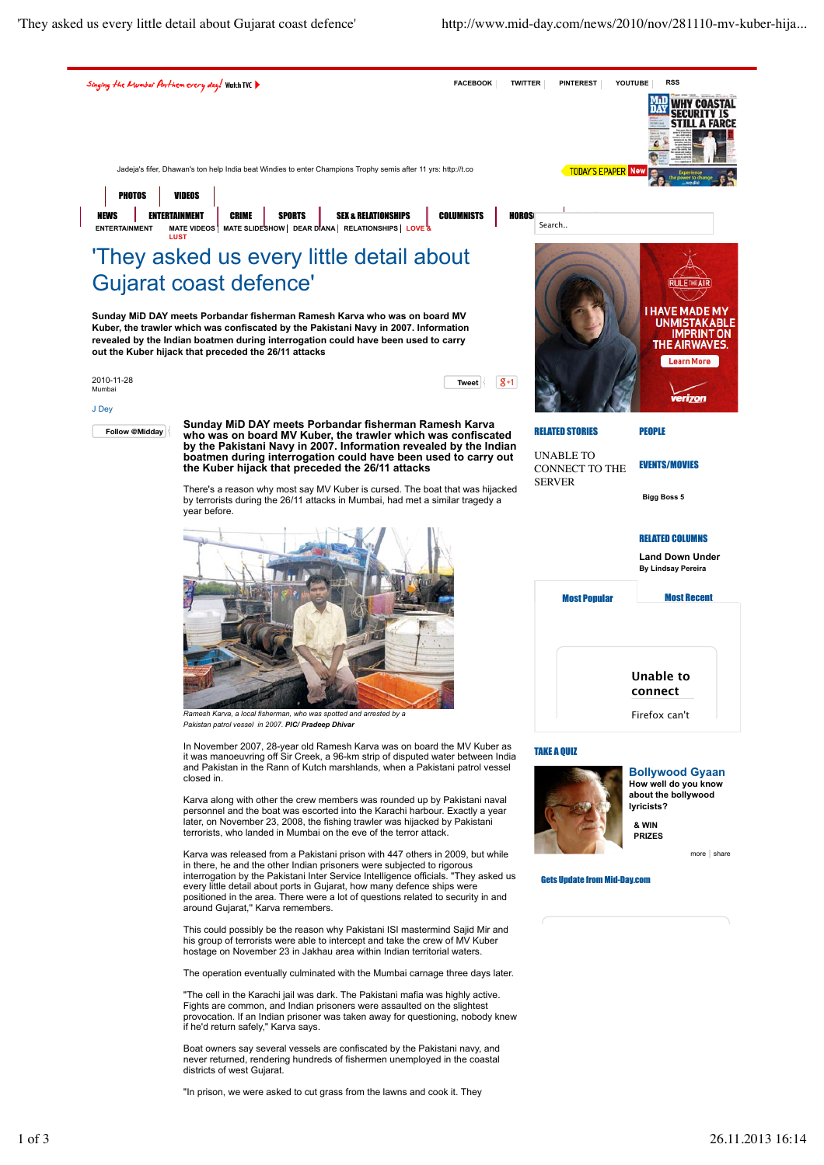